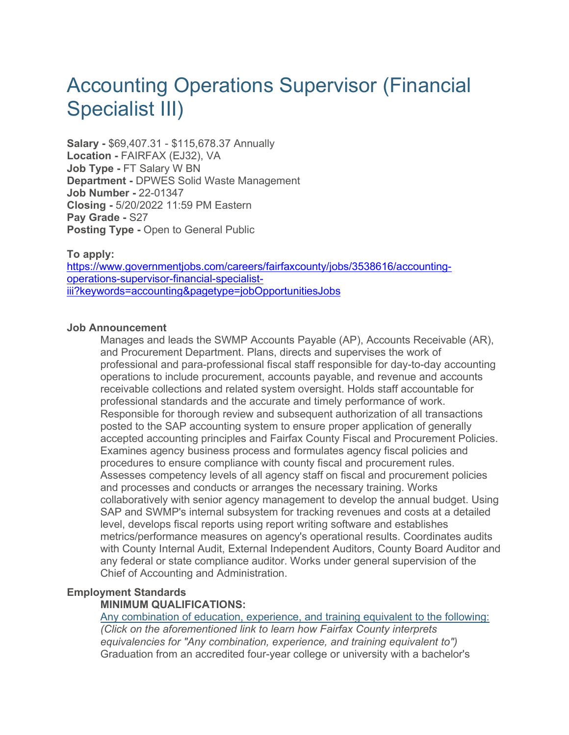# Accounting Operations Supervisor (Financial Specialist III)

**Salary -** \$69,407.31 - \$115,678.37 Annually **Location -** FAIRFAX (EJ32), VA **Job Type -** FT Salary W BN **Department -** DPWES Solid Waste Management **Job Number -** 22-01347 **Closing -** 5/20/2022 11:59 PM Eastern **Pay Grade -** S27 **Posting Type -** Open to General Public

# **To apply:**

https://www.governmentjobs.com/careers/fairfaxcounty/jobs/3538616/accountingoperations-supervisor-financial-specialistiii?keywords=accounting&pagetype=jobOpportunitiesJobs

#### **Job Announcement**

Manages and leads the SWMP Accounts Payable (AP), Accounts Receivable (AR), and Procurement Department. Plans, directs and supervises the work of professional and para-professional fiscal staff responsible for day-to-day accounting operations to include procurement, accounts payable, and revenue and accounts receivable collections and related system oversight. Holds staff accountable for professional standards and the accurate and timely performance of work. Responsible for thorough review and subsequent authorization of all transactions posted to the SAP accounting system to ensure proper application of generally accepted accounting principles and Fairfax County Fiscal and Procurement Policies. Examines agency business process and formulates agency fiscal policies and procedures to ensure compliance with county fiscal and procurement rules. Assesses competency levels of all agency staff on fiscal and procurement policies and processes and conducts or arranges the necessary training. Works collaboratively with senior agency management to develop the annual budget. Using SAP and SWMP's internal subsystem for tracking revenues and costs at a detailed level, develops fiscal reports using report writing software and establishes metrics/performance measures on agency's operational results. Coordinates audits with County Internal Audit, External Independent Auditors, County Board Auditor and any federal or state compliance auditor. Works under general supervision of the Chief of Accounting and Administration.

# **Employment Standards**

# **MINIMUM QUALIFICATIONS:**

Any combination of education, experience, and training equivalent to the following: *(Click on the aforementioned link to learn how Fairfax County interprets equivalencies for "Any combination, experience, and training equivalent to")* Graduation from an accredited four-year college or university with a bachelor's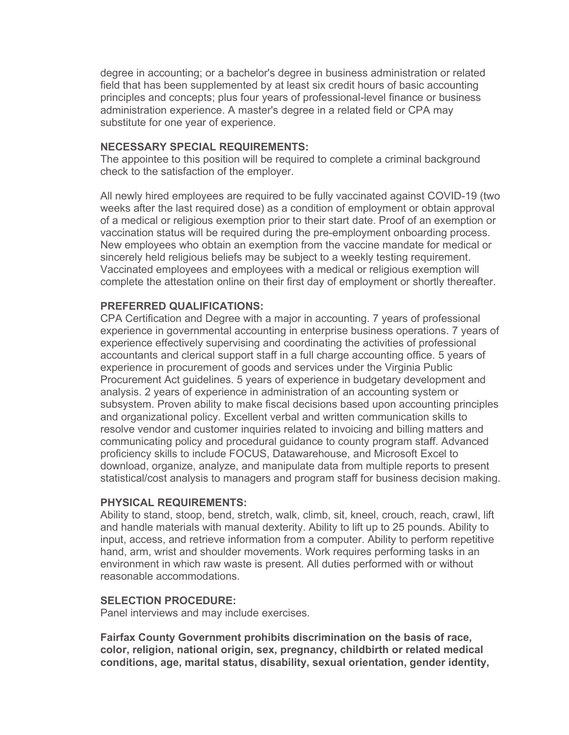degree in accounting; or a bachelor's degree in business administration or related field that has been supplemented by at least six credit hours of basic accounting principles and concepts; plus four years of professional-level finance or business administration experience. A master's degree in a related field or CPA may substitute for one year of experience.

#### **NECESSARY SPECIAL REQUIREMENTS:**

The appointee to this position will be required to complete a criminal background check to the satisfaction of the employer.

All newly hired employees are required to be fully vaccinated against COVID-19 (two weeks after the last required dose) as a condition of employment or obtain approval of a medical or religious exemption prior to their start date. Proof of an exemption or vaccination status will be required during the pre-employment onboarding process. New employees who obtain an exemption from the vaccine mandate for medical or sincerely held religious beliefs may be subject to a weekly testing requirement. Vaccinated employees and employees with a medical or religious exemption will complete the attestation online on their first day of employment or shortly thereafter.

# **PREFERRED QUALIFICATIONS:**

CPA Certification and Degree with a major in accounting. 7 years of professional experience in governmental accounting in enterprise business operations. 7 years of experience effectively supervising and coordinating the activities of professional accountants and clerical support staff in a full charge accounting office. 5 years of experience in procurement of goods and services under the Virginia Public Procurement Act guidelines. 5 years of experience in budgetary development and analysis. 2 years of experience in administration of an accounting system or subsystem. Proven ability to make fiscal decisions based upon accounting principles and organizational policy. Excellent verbal and written communication skills to resolve vendor and customer inquiries related to invoicing and billing matters and communicating policy and procedural guidance to county program staff. Advanced proficiency skills to include FOCUS, Datawarehouse, and Microsoft Excel to download, organize, analyze, and manipulate data from multiple reports to present statistical/cost analysis to managers and program staff for business decision making.

# **PHYSICAL REQUIREMENTS:**

Ability to stand, stoop, bend, stretch, walk, climb, sit, kneel, crouch, reach, crawl, lift and handle materials with manual dexterity. Ability to lift up to 25 pounds. Ability to input, access, and retrieve information from a computer. Ability to perform repetitive hand, arm, wrist and shoulder movements. Work requires performing tasks in an environment in which raw waste is present. All duties performed with or without reasonable accommodations.

# **SELECTION PROCEDURE:**

Panel interviews and may include exercises.

**Fairfax County Government prohibits discrimination on the basis of race, color, religion, national origin, sex, pregnancy, childbirth or related medical conditions, age, marital status, disability, sexual orientation, gender identity,**